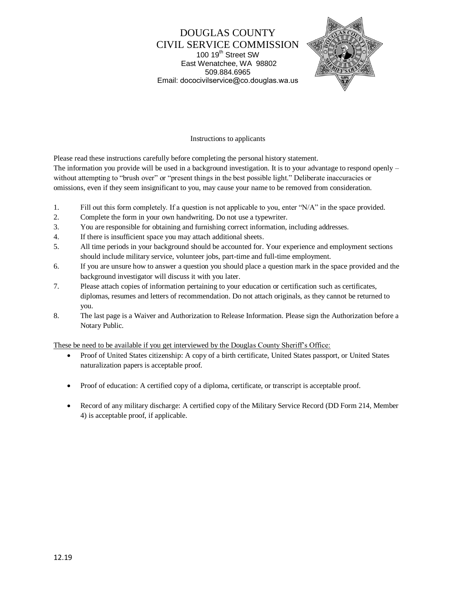DOUGLAS COUNTY CIVIL SERVICE COMMISSION 100 19<sup>th</sup> Street SW East Wenatchee, WA 98802 509.884.6965 Email: dococivilservice@co.douglas.wa.us



#### Instructions to applicants

Please read these instructions carefully before completing the personal history statement.

The information you provide will be used in a background investigation. It is to your advantage to respond openly – without attempting to "brush over" or "present things in the best possible light." Deliberate inaccuracies or omissions, even if they seem insignificant to you, may cause your name to be removed from consideration.

- 1. Fill out this form completely. If a question is not applicable to you, enter "N/A" in the space provided.
- 2. Complete the form in your own handwriting. Do not use a typewriter.
- 3. You are responsible for obtaining and furnishing correct information, including addresses.
- 4. If there is insufficient space you may attach additional sheets.
- 5. All time periods in your background should be accounted for. Your experience and employment sections should include military service, volunteer jobs, part-time and full-time employment.
- 6. If you are unsure how to answer a question you should place a question mark in the space provided and the background investigator will discuss it with you later.
- 7. Please attach copies of information pertaining to your education or certification such as certificates, diplomas, resumes and letters of recommendation. Do not attach originals, as they cannot be returned to you.
- 8. The last page is a Waiver and Authorization to Release Information. Please sign the Authorization before a Notary Public.

These be need to be available if you get interviewed by the Douglas County Sheriff's Office:

- Proof of United States citizenship: A copy of a birth certificate, United States passport, or United States naturalization papers is acceptable proof.
- Proof of education: A certified copy of a diploma, certificate, or transcript is acceptable proof.
- Record of any military discharge: A certified copy of the Military Service Record (DD Form 214, Member 4) is acceptable proof, if applicable.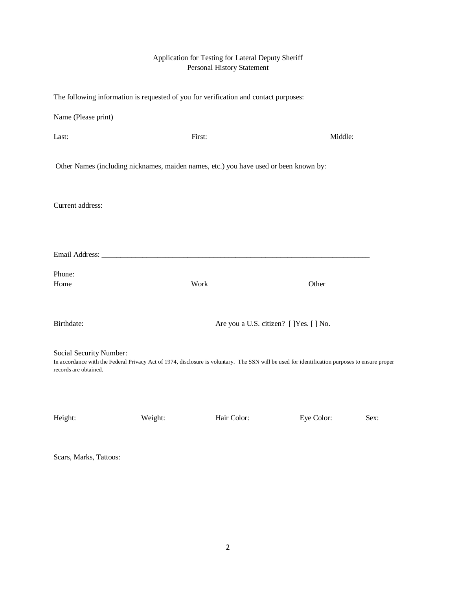# Application for Testing for Lateral Deputy Sheriff Personal History Statement

| The following information is requested of you for verification and contact purposes:                                                                                                               |         |                                                                                       |            |      |
|----------------------------------------------------------------------------------------------------------------------------------------------------------------------------------------------------|---------|---------------------------------------------------------------------------------------|------------|------|
| Name (Please print)                                                                                                                                                                                |         |                                                                                       |            |      |
| Last:                                                                                                                                                                                              | First:  |                                                                                       | Middle:    |      |
|                                                                                                                                                                                                    |         | Other Names (including nicknames, maiden names, etc.) you have used or been known by: |            |      |
| Current address:                                                                                                                                                                                   |         |                                                                                       |            |      |
|                                                                                                                                                                                                    |         |                                                                                       |            |      |
|                                                                                                                                                                                                    |         |                                                                                       |            |      |
| Phone:                                                                                                                                                                                             |         |                                                                                       |            |      |
| Home                                                                                                                                                                                               | Work    |                                                                                       | Other      |      |
| Birthdate:                                                                                                                                                                                         |         | Are you a U.S. citizen? [ ]Yes. [ ] No.                                               |            |      |
| Social Security Number:<br>In accordance with the Federal Privacy Act of 1974, disclosure is voluntary. The SSN will be used for identification purposes to ensure proper<br>records are obtained. |         |                                                                                       |            |      |
| Height:                                                                                                                                                                                            | Weight: | Hair Color:                                                                           | Eye Color: | Sex: |

Scars, Marks, Tattoos: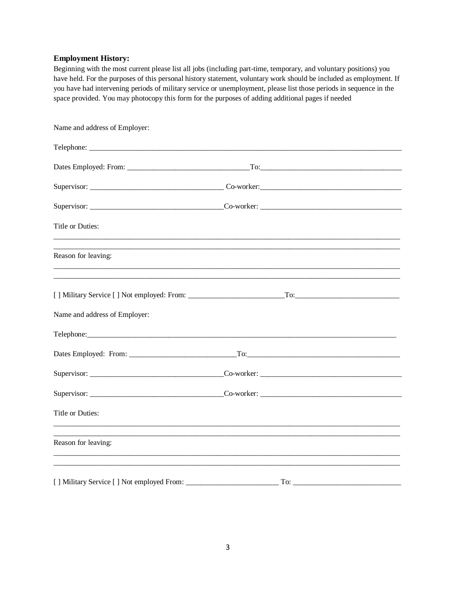# **Employment History:**

Beginning with the most current please list all jobs (including part-time, temporary, and voluntary positions) you have held. For the purposes of this personal history statement, voluntary work should be included as employment. If you have had intervening periods of military service or unemployment, please list those periods in sequence in the space provided. You may photocopy this form for the purposes of adding additional pages if needed

| Name and address of Employer: |  |
|-------------------------------|--|
|                               |  |
|                               |  |
|                               |  |
|                               |  |
| Title or Duties:              |  |
| Reason for leaving:           |  |
|                               |  |
| Name and address of Employer: |  |
|                               |  |
|                               |  |
|                               |  |
|                               |  |
| Title or Duties:              |  |
| Reason for leaving:           |  |
|                               |  |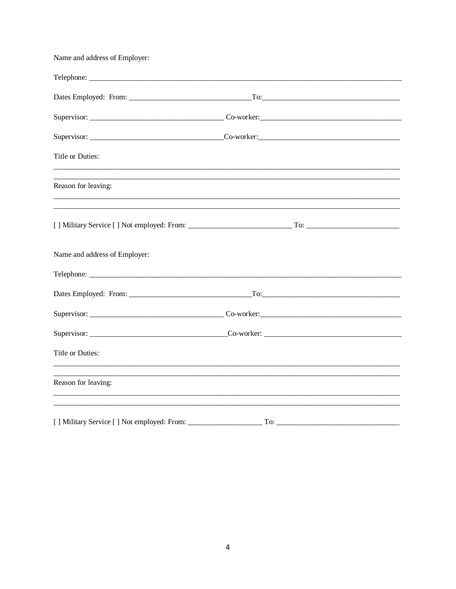| Name and address of Employer:              |     |             |  |
|--------------------------------------------|-----|-------------|--|
|                                            |     |             |  |
|                                            |     | $\Gamma$ o: |  |
|                                            |     |             |  |
|                                            |     |             |  |
| <b>Title or Duties:</b>                    |     |             |  |
| Reason for leaving:                        |     |             |  |
|                                            |     |             |  |
| Name and address of Employer:              |     |             |  |
|                                            |     |             |  |
|                                            |     |             |  |
|                                            |     |             |  |
|                                            |     |             |  |
| <b>Title or Duties:</b>                    |     |             |  |
| Reason for leaving:                        |     |             |  |
|                                            |     |             |  |
| [] Military Service [] Not employed: From: | To: |             |  |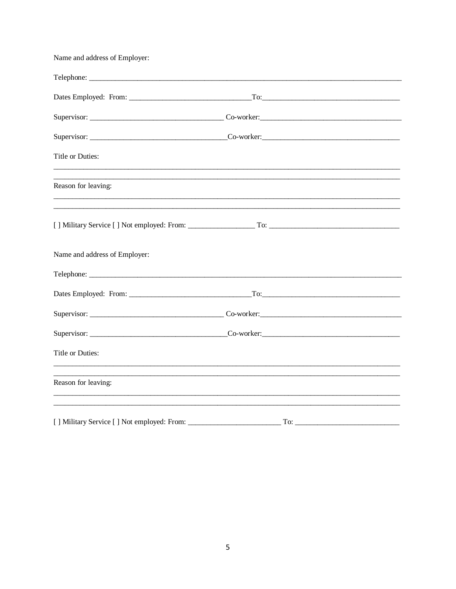| Name and address of Employer: |  |
|-------------------------------|--|
|                               |  |
|                               |  |
|                               |  |
|                               |  |
| Title or Duties:              |  |
| Reason for leaving:           |  |
|                               |  |
| Name and address of Employer: |  |
|                               |  |
|                               |  |
|                               |  |
|                               |  |
| Title or Duties:              |  |
| Reason for leaving:           |  |
|                               |  |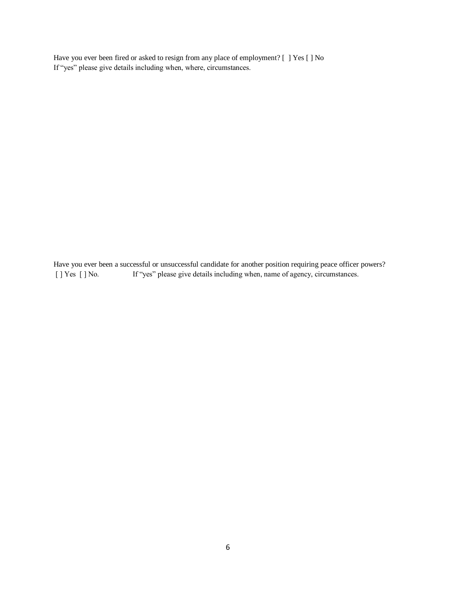Have you ever been fired or asked to resign from any place of employment? [ ] Yes [ ] No If "yes" please give details including when, where, circumstances.

Have you ever been a successful or unsuccessful candidate for another position requiring peace officer powers? [ ] Yes [ ] No. If "yes" please give details including when, name of agency, circumstances.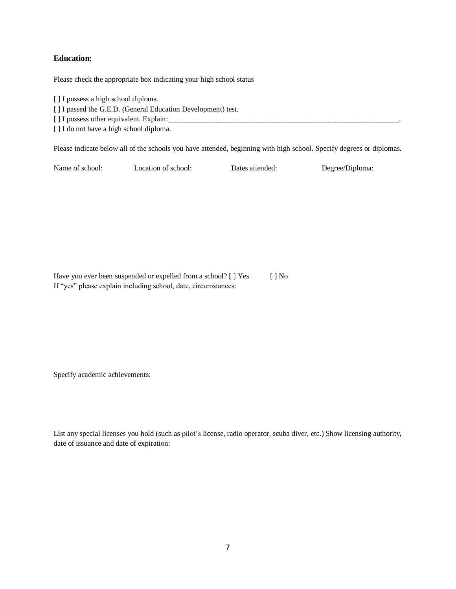# **Education:**

Please check the appropriate box indicating your high school status

[ ] I possess a high school diploma.

[ ] I passed the G.E.D. (General Education Development) test.

[ ] I possess other equivalent. Explain:

[ ] I do not have a high school diploma.

Please indicate below all of the schools you have attended, beginning with high school. Specify degrees or diplomas.

Name of school: Location of school: Dates attended: Degree/Diploma:

Have you ever been suspended or expelled from a school? [ ] Yes [ ] No If "yes" please explain including school, date, circumstances:

Specify academic achievements:

List any special licenses you hold (such as pilot's license, radio operator, scuba diver, etc.) Show licensing authority, date of issuance and date of expiration: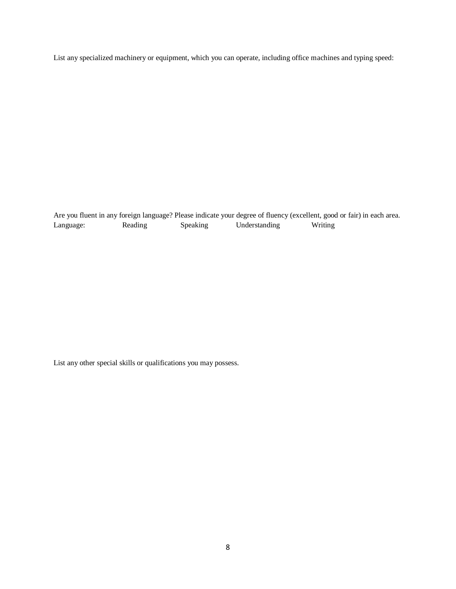List any specialized machinery or equipment, which you can operate, including office machines and typing speed:

Are you fluent in any foreign language? Please indicate your degree of fluency (excellent, good or fair) in each area. Language: Reading Speaking Understanding Writing

List any other special skills or qualifications you may possess.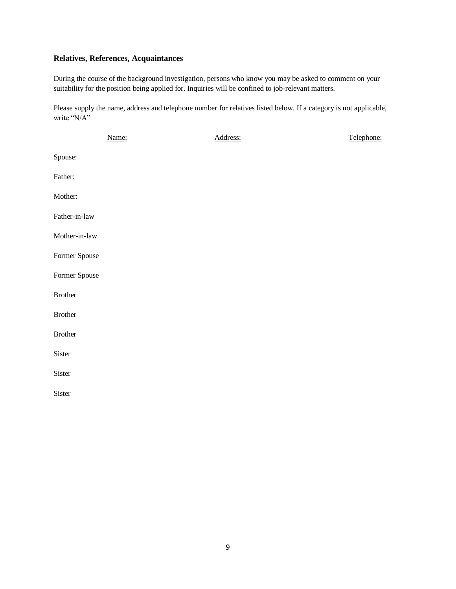# **Relatives, References, Acquaintances**

During the course of the background investigation, persons who know you may be asked to comment on your suitability for the position being applied for. Inquiries will be confined to job-relevant matters.

Please supply the name, address and telephone number for relatives listed below. If a category is not applicable, write "N/A"

|               | Name: | Address: | Telephone: |
|---------------|-------|----------|------------|
| Spouse:       |       |          |            |
| Father:       |       |          |            |
| Mother:       |       |          |            |
| Father-in-law |       |          |            |
| Mother-in-law |       |          |            |
| Former Spouse |       |          |            |
| Former Spouse |       |          |            |
| Brother       |       |          |            |
| Brother       |       |          |            |
| Brother       |       |          |            |
| Sister        |       |          |            |
| Sister        |       |          |            |
| Sister        |       |          |            |
|               |       |          |            |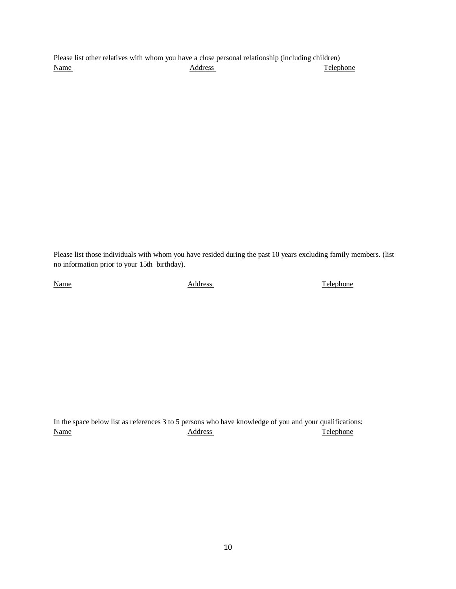Please list other relatives with whom you have a close personal relationship (including children) Name Address Address Telephone

Please list those individuals with whom you have resided during the past 10 years excluding family members. (list no information prior to your 15th birthday).

Name Address Address Telephone

In the space below list as references 3 to 5 persons who have knowledge of you and your qualifications: Name **Address** Address **Telephone**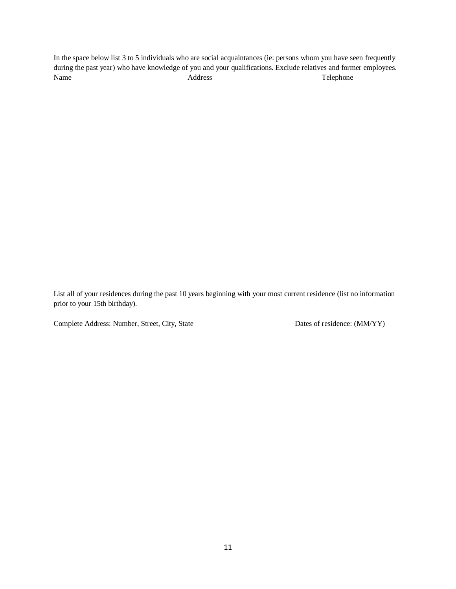In the space below list 3 to 5 individuals who are social acquaintances (ie: persons whom you have seen frequently during the past year) who have knowledge of you and your qualifications. Exclude relatives and former employees. Name **Address** Address **Telephone** 

List all of your residences during the past 10 years beginning with your most current residence (list no information prior to your 15th birthday).

Complete Address: Number, Street, City, State Dates of residence: (MM/YY)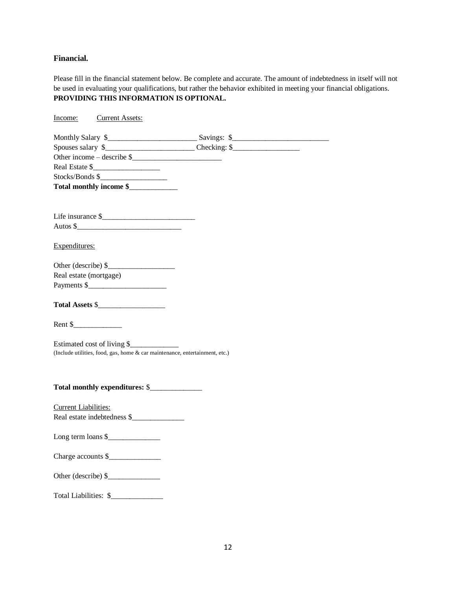### **Financial.**

Please fill in the financial statement below. Be complete and accurate. The amount of indebtedness in itself will not be used in evaluating your qualifications, but rather the behavior exhibited in meeting your financial obligations. **PROVIDING THIS INFORMATION IS OPTIONAL.**

Income: Current Assets:

| Other income $-\$ describe $\frac{1}{2}$                                    |  |
|-----------------------------------------------------------------------------|--|
| Real Estate \$                                                              |  |
| Stocks/Bonds \$                                                             |  |
| Total monthly income \$                                                     |  |
|                                                                             |  |
|                                                                             |  |
| Life insurance \$                                                           |  |
|                                                                             |  |
| Expenditures:                                                               |  |
|                                                                             |  |
|                                                                             |  |
| Real estate (mortgage)                                                      |  |
|                                                                             |  |
|                                                                             |  |
| Total Assets \$                                                             |  |
|                                                                             |  |
|                                                                             |  |
|                                                                             |  |
| Estimated cost of living \$                                                 |  |
| (Include utilities, food, gas, home & car maintenance, entertainment, etc.) |  |
|                                                                             |  |
|                                                                             |  |
|                                                                             |  |
|                                                                             |  |
| <b>Current Liabilities:</b>                                                 |  |
| Real estate indebtedness \$                                                 |  |
|                                                                             |  |
|                                                                             |  |
| Charge accounts \$                                                          |  |
|                                                                             |  |
|                                                                             |  |
|                                                                             |  |
| Total Liabilities: \$                                                       |  |
|                                                                             |  |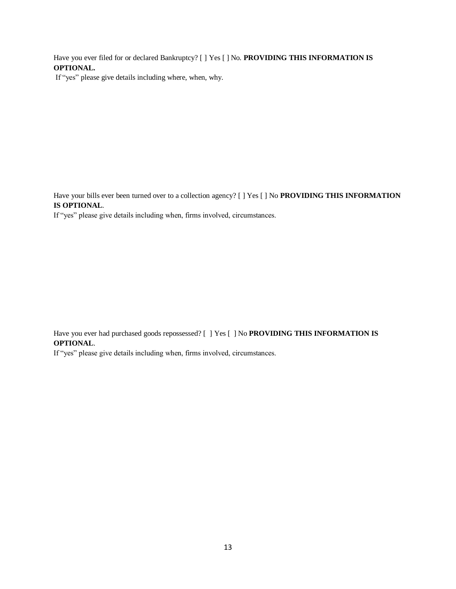Have you ever filed for or declared Bankruptcy? [ ] Yes [ ] No. **PROVIDING THIS INFORMATION IS OPTIONAL.**

If "yes" please give details including where, when, why.

Have your bills ever been turned over to a collection agency? [ ] Yes [ ] No **PROVIDING THIS INFORMATION IS OPTIONAL**.

If "yes" please give details including when, firms involved, circumstances.

Have you ever had purchased goods repossessed? [ ] Yes [ ] No **PROVIDING THIS INFORMATION IS OPTIONAL**.

If "yes" please give details including when, firms involved, circumstances.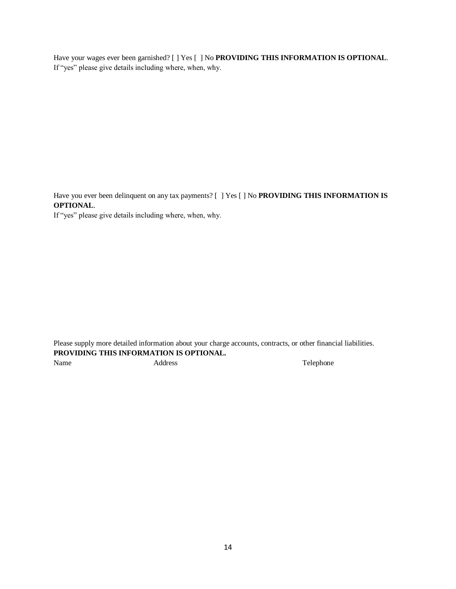Have your wages ever been garnished? [ ] Yes [ ] No **PROVIDING THIS INFORMATION IS OPTIONAL**. If "yes" please give details including where, when, why.

Have you ever been delinquent on any tax payments? [ ] Yes [ ] No **PROVIDING THIS INFORMATION IS OPTIONAL**.

If "yes" please give details including where, when, why.

Please supply more detailed information about your charge accounts, contracts, or other financial liabilities. **PROVIDING THIS INFORMATION IS OPTIONAL.**  Name Address Address Telephone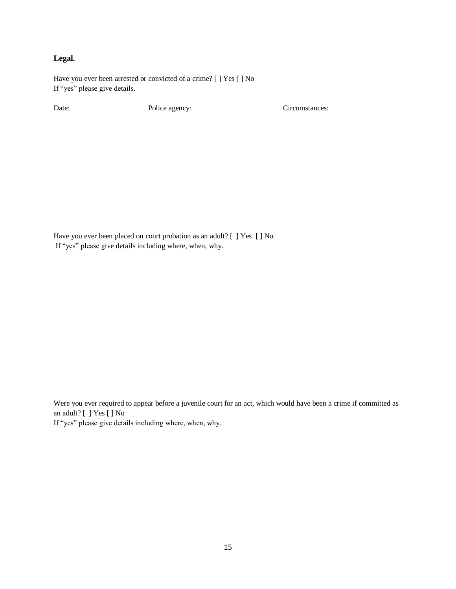# **Legal.**

Have you ever been arrested or convicted of a crime? [ ] Yes [ ] No If "yes" please give details.

Date: Police agency: Circumstances:

Have you ever been placed on court probation as an adult? [ ] Yes [ ] No. If "yes" please give details including where, when, why.

Were you ever required to appear before a juvenile court for an act, which would have been a crime if committed as an adult? [ ] Yes [ ] No

If "yes" please give details including where, when, why.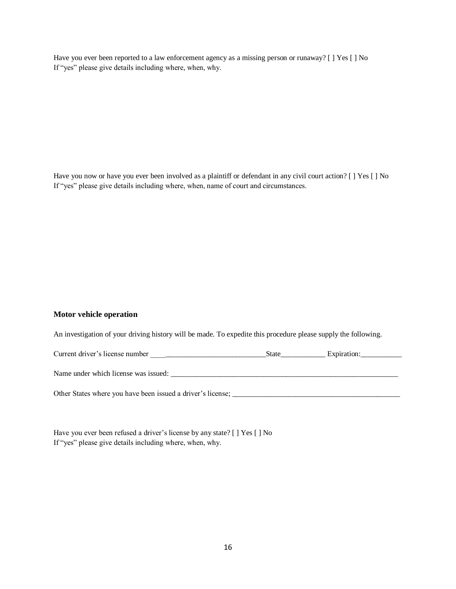Have you ever been reported to a law enforcement agency as a missing person or runaway? [ ] Yes [ ] No If "yes" please give details including where, when, why.

Have you now or have you ever been involved as a plaintiff or defendant in any civil court action? [ ] Yes [ ] No If "yes" please give details including where, when, name of court and circumstances.

#### **Motor vehicle operation**

An investigation of your driving history will be made. To expedite this procedure please supply the following.

| Current driver's license number                             | <b>State</b> | Expiration: |
|-------------------------------------------------------------|--------------|-------------|
| Name under which license was issued:                        |              |             |
| Other States where you have been issued a driver's license; |              |             |

Have you ever been refused a driver's license by any state? [ ] Yes [ ] No If "yes" please give details including where, when, why.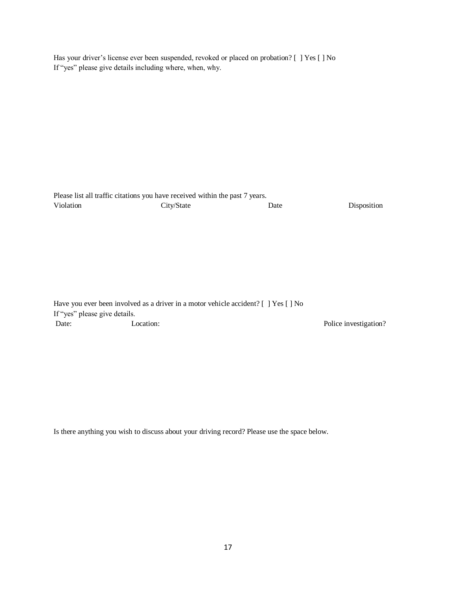Has your driver's license ever been suspended, revoked or placed on probation? [ ] Yes [ ] No If "yes" please give details including where, when, why.

|           | Please list all traffic citations you have received within the past 7 years. |      |             |
|-----------|------------------------------------------------------------------------------|------|-------------|
| Violation | City/State                                                                   | Date | Disposition |

|                               | Have you ever been involved as a driver in a motor vehicle accident? $[ \ ]$ Yes $[ \ ]$ No |
|-------------------------------|---------------------------------------------------------------------------------------------|
| If "yes" please give details. |                                                                                             |
| Date:                         | Location:                                                                                   |

Police investigation?

Is there anything you wish to discuss about your driving record? Please use the space below.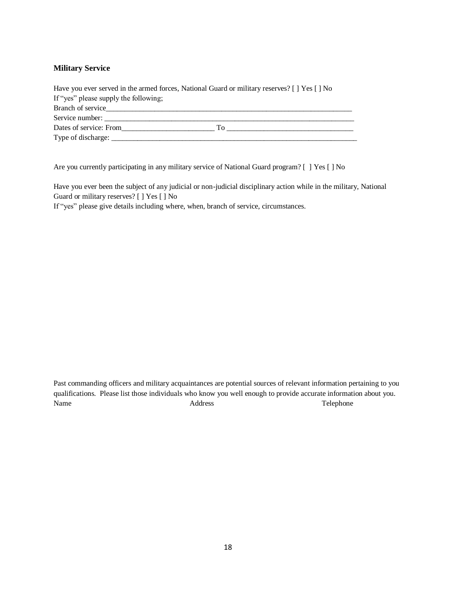### **Military Service**

| Have you ever served in the armed forces, National Guard or military reserves? [ ] Yes [ ] No |
|-----------------------------------------------------------------------------------------------|
| If "yes" please supply the following;                                                         |
| Branch of service                                                                             |
| Service number:                                                                               |
| Dates of service: From<br>- To                                                                |
| Type of discharge: _                                                                          |

Are you currently participating in any military service of National Guard program? [ ] Yes [ ] No

Have you ever been the subject of any judicial or non-judicial disciplinary action while in the military, National Guard or military reserves? [ ] Yes [ ] No

If "yes" please give details including where, when, branch of service, circumstances.

Past commanding officers and military acquaintances are potential sources of relevant information pertaining to you qualifications. Please list those individuals who know you well enough to provide accurate information about you. Name Address Address Telephone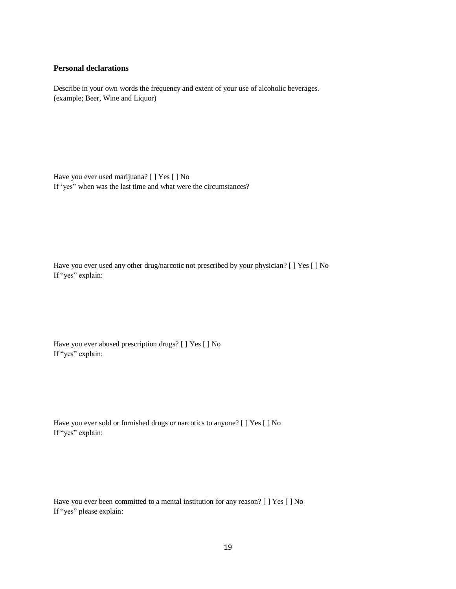#### **Personal declarations**

Describe in your own words the frequency and extent of your use of alcoholic beverages. (example; Beer, Wine and Liquor)

Have you ever used marijuana? [ ] Yes [ ] No If 'yes" when was the last time and what were the circumstances?

Have you ever used any other drug/narcotic not prescribed by your physician? [ ] Yes [ ] No If "yes" explain:

Have you ever abused prescription drugs? [ ] Yes [ ] No If "yes" explain:

Have you ever sold or furnished drugs or narcotics to anyone? [ ] Yes [ ] No If "yes" explain:

Have you ever been committed to a mental institution for any reason? [ ] Yes [ ] No If "yes" please explain: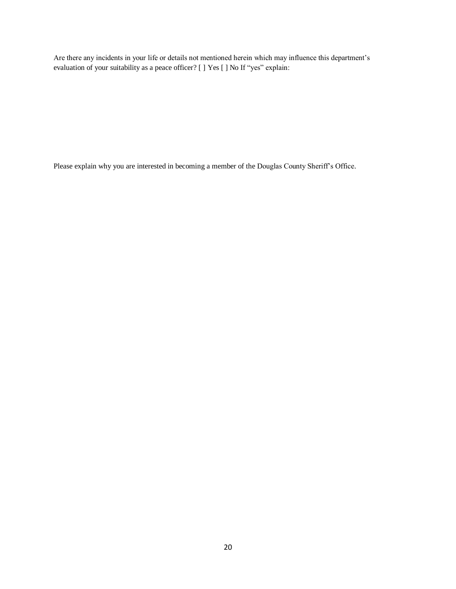Are there any incidents in your life or details not mentioned herein which may influence this department's evaluation of your suitability as a peace officer? [ ] Yes [ ] No If "yes" explain:

Please explain why you are interested in becoming a member of the Douglas County Sheriff's Office.